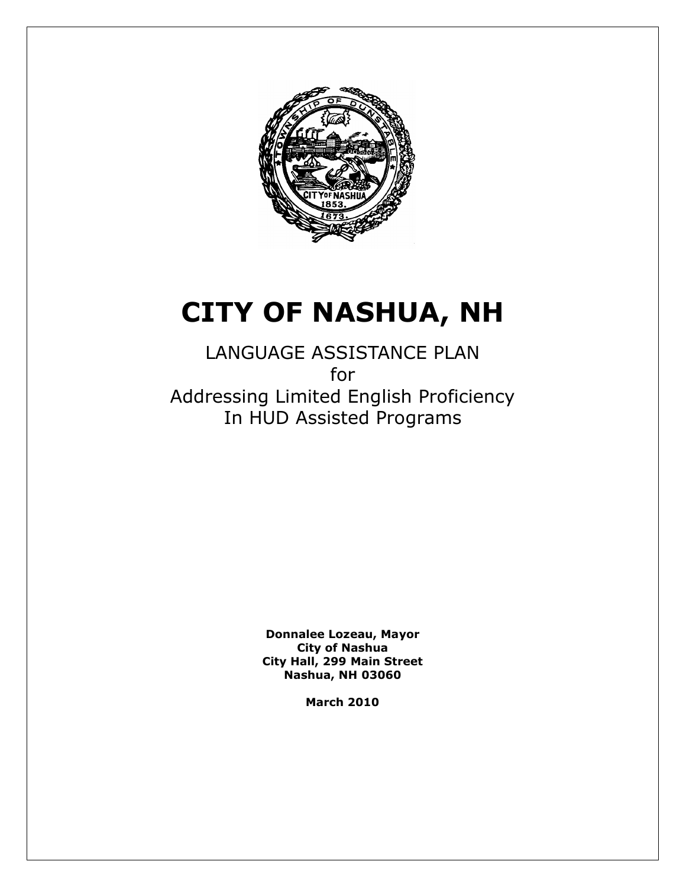

# **CITY OF NASHUA, NH**

LANGUAGE ASSISTANCE PLAN for Addressing Limited English Proficiency In HUD Assisted Programs

> **Donnalee Lozeau, Mayor City of Nashua City Hall, 299 Main Street Nashua, NH 03060**

> > **March 2010**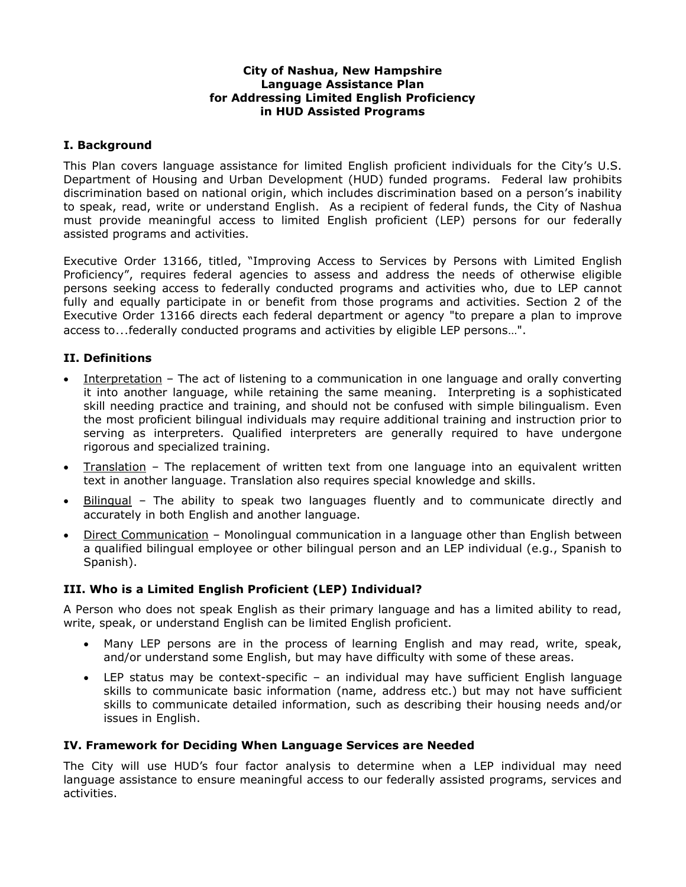## **City of Nashua, New Hampshire Language Assistance Plan for Addressing Limited English Proficiency in HUD Assisted Programs**

## **I. Background**

This Plan covers language assistance for limited English proficient individuals for the City's U.S. Department of Housing and Urban Development (HUD) funded programs. Federal law prohibits discrimination based on national origin, which includes discrimination based on a person's inability to speak, read, write or understand English. As a recipient of federal funds, the City of Nashua must provide meaningful access to limited English proficient (LEP) persons for our federally assisted programs and activities.

Executive Order 13166, titled, "Improving Access to Services by Persons with Limited English Proficiency", requires federal agencies to assess and address the needs of otherwise eligible persons seeking access to federally conducted programs and activities who, due to LEP cannot fully and equally participate in or benefit from those programs and activities. Section 2 of the Executive Order 13166 directs each federal department or agency "to prepare a plan to improve access to…federally conducted programs and activities by eligible LEP persons…".

## **II. Definitions**

- Interpretation The act of listening to a communication in one language and orally converting it into another language, while retaining the same meaning. Interpreting is a sophisticated skill needing practice and training, and should not be confused with simple bilingualism. Even the most proficient bilingual individuals may require additional training and instruction prior to serving as interpreters. Qualified interpreters are generally required to have undergone rigorous and specialized training.
- Translation The replacement of written text from one language into an equivalent written text in another language. Translation also requires special knowledge and skills.
- Bilingual The ability to speak two languages fluently and to communicate directly and accurately in both English and another language.
- Direct Communication Monolingual communication in a language other than English between a qualified bilingual employee or other bilingual person and an LEP individual (e.g., Spanish to Spanish).

## **III. Who is a Limited English Proficient (LEP) Individual?**

A Person who does not speak English as their primary language and has a limited ability to read, write, speak, or understand English can be limited English proficient.

- Many LEP persons are in the process of learning English and may read, write, speak, and/or understand some English, but may have difficulty with some of these areas.
- LEP status may be context-specific an individual may have sufficient English language skills to communicate basic information (name, address etc.) but may not have sufficient skills to communicate detailed information, such as describing their housing needs and/or issues in English.

## **IV. Framework for Deciding When Language Services are Needed**

The City will use HUD's four factor analysis to determine when a LEP individual may need language assistance to ensure meaningful access to our federally assisted programs, services and activities.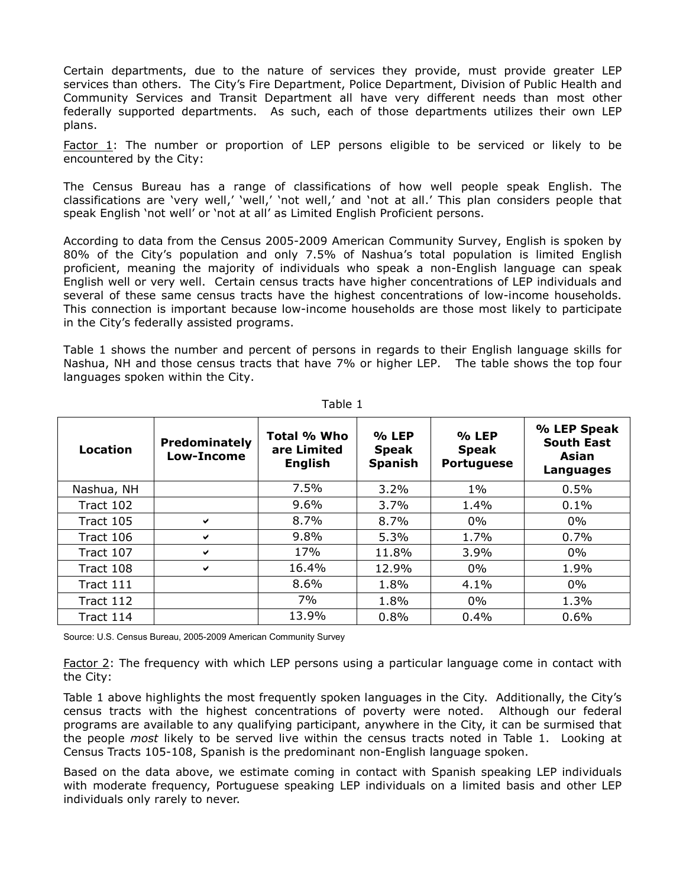Certain departments, due to the nature of services they provide, must provide greater LEP services than others. The City's Fire Department, Police Department, Division of Public Health and Community Services and Transit Department all have very different needs than most other federally supported departments. As such, each of those departments utilizes their own LEP plans.

**Factor 1:** The number or proportion of LEP persons eligible to be serviced or likely to be encountered by the City:

The Census Bureau has a range of classifications of how well people speak English. The classifications are 'very well,' 'well,' 'not well,' and 'not at all.' This plan considers people that speak English 'not well' or 'not at all' as Limited English Proficient persons.

According to data from the Census 2005-2009 American Community Survey, English is spoken by 80% of the City's population and only 7.5% of Nashua's total population is limited English proficient, meaning the majority of individuals who speak a non-English language can speak English well or very well. Certain census tracts have higher concentrations of LEP individuals and several of these same census tracts have the highest concentrations of low-income households. This connection is important because low-income households are those most likely to participate in the City's federally assisted programs.

Table 1 shows the number and percent of persons in regards to their English language skills for Nashua, NH and those census tracts that have 7% or higher LEP. The table shows the top four languages spoken within the City.

| Location   | Predominately<br>Low-Income | Total % Who<br>are Limited<br><b>English</b> | $%$ LEP<br><b>Speak</b><br><b>Spanish</b> | $%$ LEP<br><b>Speak</b><br><b>Portuguese</b> | % LEP Speak<br><b>South East</b><br>Asian<br>Languages |
|------------|-----------------------------|----------------------------------------------|-------------------------------------------|----------------------------------------------|--------------------------------------------------------|
| Nashua, NH |                             | 7.5%                                         | 3.2%                                      | $1\%$                                        | 0.5%                                                   |
| Tract 102  |                             | 9.6%                                         | 3.7%                                      | 1.4%                                         | 0.1%                                                   |
| Tract 105  | ✔                           | 8.7%                                         | 8.7%                                      | $0\%$                                        | $0\%$                                                  |
| Tract 106  | ✔                           | 9.8%                                         | 5.3%                                      | 1.7%                                         | 0.7%                                                   |
| Tract 107  | ✔                           | 17%                                          | 11.8%                                     | 3.9%                                         | $0\%$                                                  |
| Tract 108  | ✔                           | 16.4%                                        | 12.9%                                     | $0\%$                                        | 1.9%                                                   |
| Tract 111  |                             | 8.6%                                         | 1.8%                                      | 4.1%                                         | $0\%$                                                  |
| Tract 112  |                             | 7%                                           | 1.8%                                      | $0\%$                                        | 1.3%                                                   |
| Tract 114  |                             | 13.9%                                        | 0.8%                                      | 0.4%                                         | 0.6%                                                   |

Table 1

Source: U.S. Census Bureau, 2005-2009 American Community Survey

Factor 2: The frequency with which LEP persons using a particular language come in contact with the City:

Table 1 above highlights the most frequently spoken languages in the City. Additionally, the City's census tracts with the highest concentrations of poverty were noted. Although our federal programs are available to any qualifying participant, anywhere in the City, it can be surmised that the people *most* likely to be served live within the census tracts noted in Table 1. Looking at Census Tracts 105-108, Spanish is the predominant non-English language spoken.

Based on the data above, we estimate coming in contact with Spanish speaking LEP individuals with moderate frequency, Portuguese speaking LEP individuals on a limited basis and other LEP individuals only rarely to never.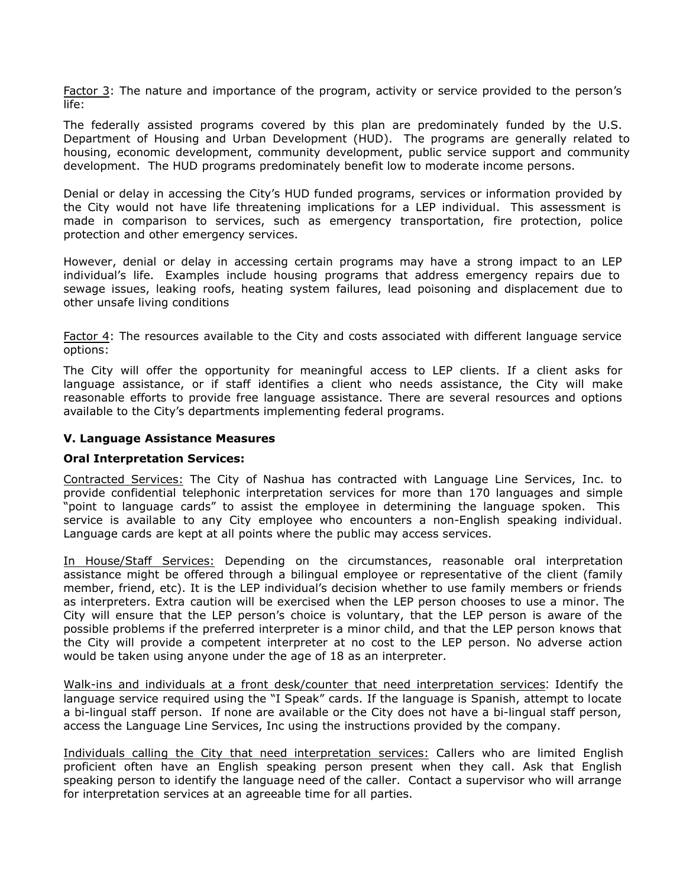Factor 3: The nature and importance of the program, activity or service provided to the person's life:

The federally assisted programs covered by this plan are predominately funded by the U.S. Department of Housing and Urban Development (HUD). The programs are generally related to housing, economic development, community development, public service support and community development. The HUD programs predominately benefit low to moderate income persons.

Denial or delay in accessing the City's HUD funded programs, services or information provided by the City would not have life threatening implications for a LEP individual. This assessment is made in comparison to services, such as emergency transportation, fire protection, police protection and other emergency services.

However, denial or delay in accessing certain programs may have a strong impact to an LEP individual's life. Examples include housing programs that address emergency repairs due to sewage issues, leaking roofs, heating system failures, lead poisoning and displacement due to other unsafe living conditions

Factor 4: The resources available to the City and costs associated with different language service options:

The City will offer the opportunity for meaningful access to LEP clients. If a client asks for language assistance, or if staff identifies a client who needs assistance, the City will make reasonable efforts to provide free language assistance. There are several resources and options available to the City's departments implementing federal programs.

#### **V. Language Assistance Measures**

#### **Oral Interpretation Services:**

Contracted Services: The City of Nashua has contracted with Language Line Services, Inc. to provide confidential telephonic interpretation services for more than 170 languages and simple "point to language cards" to assist the employee in determining the language spoken. This service is available to any City employee who encounters a non-English speaking individual. Language cards are kept at all points where the public may access services.

In House/Staff Services: Depending on the circumstances, reasonable oral interpretation assistance might be offered through a bilingual employee or representative of the client (family member, friend, etc). It is the LEP individual's decision whether to use family members or friends as interpreters. Extra caution will be exercised when the LEP person chooses to use a minor. The City will ensure that the LEP person's choice is voluntary, that the LEP person is aware of the possible problems if the preferred interpreter is a minor child, and that the LEP person knows that the City will provide a competent interpreter at no cost to the LEP person. No adverse action would be taken using anyone under the age of 18 as an interpreter.

Walk-ins and individuals at a front desk/counter that need interpretation services: Identify the language service required using the "I Speak" cards. If the language is Spanish, attempt to locate a bi-lingual staff person. If none are available or the City does not have a bi-lingual staff person, access the Language Line Services, Inc using the instructions provided by the company.

Individuals calling the City that need interpretation services: Callers who are limited English proficient often have an English speaking person present when they call. Ask that English speaking person to identify the language need of the caller. Contact a supervisor who will arrange for interpretation services at an agreeable time for all parties.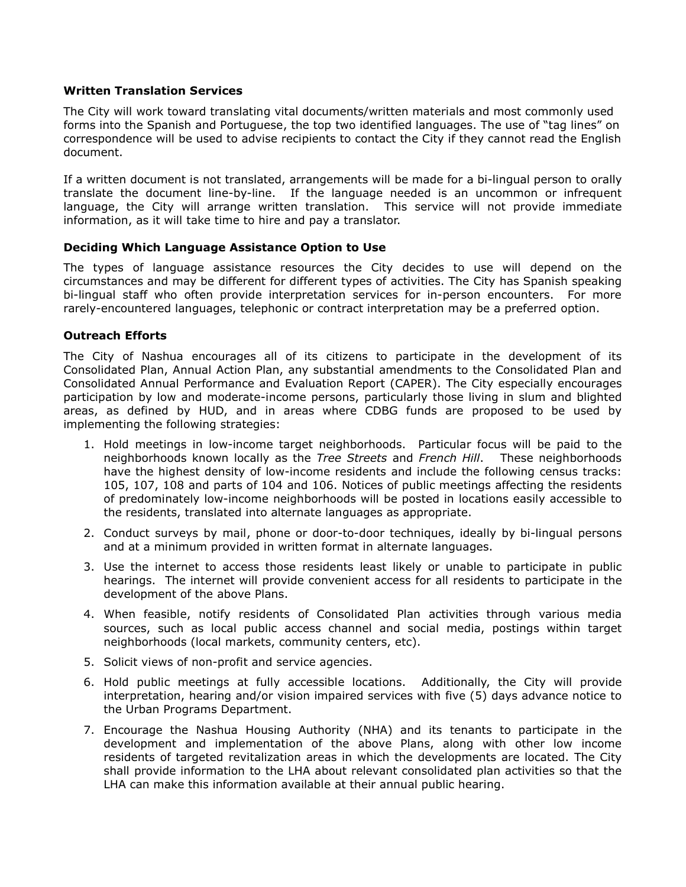## **Written Translation Services**

The City will work toward translating vital documents/written materials and most commonly used forms into the Spanish and Portuguese, the top two identified languages. The use of "tag lines" on correspondence will be used to advise recipients to contact the City if they cannot read the English document.

If a written document is not translated, arrangements will be made for a bi-lingual person to orally translate the document line-by-line. If the language needed is an uncommon or infrequent language, the City will arrange written translation. This service will not provide immediate information, as it will take time to hire and pay a translator.

#### **Deciding Which Language Assistance Option to Use**

The types of language assistance resources the City decides to use will depend on the circumstances and may be different for different types of activities. The City has Spanish speaking bi-lingual staff who often provide interpretation services for in-person encounters. For more rarely-encountered languages, telephonic or contract interpretation may be a preferred option.

## **Outreach Efforts**

The City of Nashua encourages all of its citizens to participate in the development of its Consolidated Plan, Annual Action Plan, any substantial amendments to the Consolidated Plan and Consolidated Annual Performance and Evaluation Report (CAPER). The City especially encourages participation by low and moderate-income persons, particularly those living in slum and blighted areas, as defined by HUD, and in areas where CDBG funds are proposed to be used by implementing the following strategies:

- 1. Hold meetings in low-income target neighborhoods. Particular focus will be paid to the neighborhoods known locally as the *Tree Streets* and *French Hill*. These neighborhoods have the highest density of low-income residents and include the following census tracks: 105, 107, 108 and parts of 104 and 106. Notices of public meetings affecting the residents of predominately low-income neighborhoods will be posted in locations easily accessible to the residents, translated into alternate languages as appropriate.
- 2. Conduct surveys by mail, phone or door-to-door techniques, ideally by bi-lingual persons and at a minimum provided in written format in alternate languages.
- 3. Use the internet to access those residents least likely or unable to participate in public hearings. The internet will provide convenient access for all residents to participate in the development of the above Plans.
- 4. When feasible, notify residents of Consolidated Plan activities through various media sources, such as local public access channel and social media, postings within target neighborhoods (local markets, community centers, etc).
- 5. Solicit views of non-profit and service agencies.
- 6. Hold public meetings at fully accessible locations. Additionally, the City will provide interpretation, hearing and/or vision impaired services with five (5) days advance notice to the Urban Programs Department.
- 7. Encourage the Nashua Housing Authority (NHA) and its tenants to participate in the development and implementation of the above Plans, along with other low income residents of targeted revitalization areas in which the developments are located. The City shall provide information to the LHA about relevant consolidated plan activities so that the LHA can make this information available at their annual public hearing.